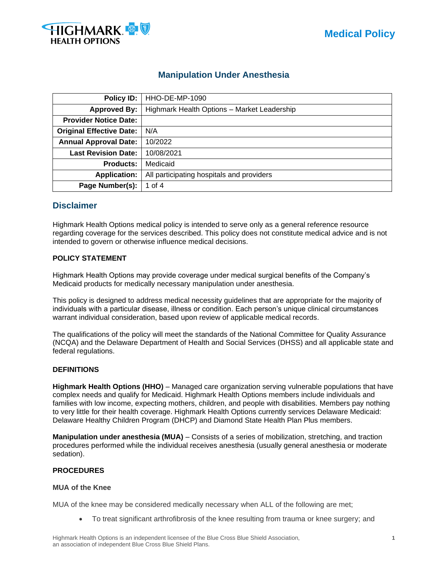

# **Manipulation Under Anesthesia**

| Policy ID:                      | HHO-DE-MP-1090                              |
|---------------------------------|---------------------------------------------|
| <b>Approved By:</b>             | Highmark Health Options - Market Leadership |
| <b>Provider Notice Date:</b>    |                                             |
| <b>Original Effective Date:</b> | N/A                                         |
| <b>Annual Approval Date:</b>    | 10/2022                                     |
| <b>Last Revision Date:</b>      | 10/08/2021                                  |
| <b>Products:</b>                | Medicaid                                    |
| <b>Application:</b>             | All participating hospitals and providers   |
| Page Number(s):                 | 1 of 4                                      |

# **Disclaimer**

Highmark Health Options medical policy is intended to serve only as a general reference resource regarding coverage for the services described. This policy does not constitute medical advice and is not intended to govern or otherwise influence medical decisions.

# **POLICY STATEMENT**

Highmark Health Options may provide coverage under medical surgical benefits of the Company's Medicaid products for medically necessary manipulation under anesthesia.

This policy is designed to address medical necessity guidelines that are appropriate for the majority of individuals with a particular disease, illness or condition. Each person's unique clinical circumstances warrant individual consideration, based upon review of applicable medical records.

The qualifications of the policy will meet the standards of the National Committee for Quality Assurance (NCQA) and the Delaware Department of Health and Social Services (DHSS) and all applicable state and federal regulations.

# **DEFINITIONS**

**Highmark Health Options (HHO)** – Managed care organization serving vulnerable populations that have complex needs and qualify for Medicaid. Highmark Health Options members include individuals and families with low income, expecting mothers, children, and people with disabilities. Members pay nothing to very little for their health coverage. Highmark Health Options currently services Delaware Medicaid: Delaware Healthy Children Program (DHCP) and Diamond State Health Plan Plus members.

**Manipulation under anesthesia (MUA)** – Consists of a series of mobilization, stretching, and traction procedures performed while the individual receives anesthesia (usually general anesthesia or moderate sedation).

# **PROCEDURES**

### **MUA of the Knee**

MUA of the knee may be considered medically necessary when ALL of the following are met;

• To treat significant arthrofibrosis of the knee resulting from trauma or knee surgery; and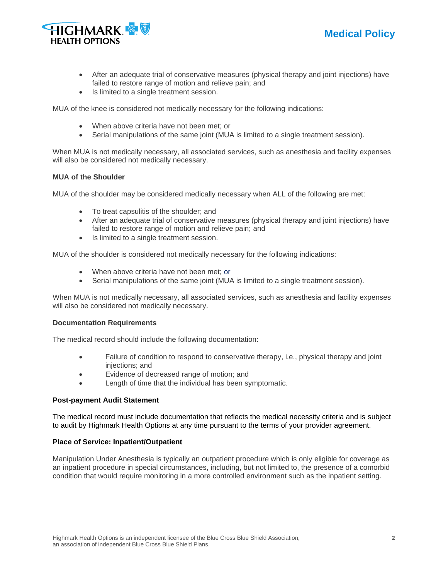



- After an adequate trial of conservative measures (physical therapy and joint injections) have failed to restore range of motion and relieve pain; and
- Is limited to a single treatment session.

MUA of the knee is considered not medically necessary for the following indications:

- When above criteria have not been met; or
- Serial manipulations of the same joint (MUA is limited to a single treatment session).

When MUA is not medically necessary, all associated services, such as anesthesia and facility expenses will also be considered not medically necessary.

### **MUA of the Shoulder**

MUA of the shoulder may be considered medically necessary when ALL of the following are met:

- To treat capsulitis of the shoulder; and
- After an adequate trial of conservative measures (physical therapy and joint injections) have failed to restore range of motion and relieve pain; and
- Is limited to a single treatment session.

MUA of the shoulder is considered not medically necessary for the following indications:

- When above criteria have not been met; or
- Serial manipulations of the same joint (MUA is limited to a single treatment session).

When MUA is not medically necessary, all associated services, such as anesthesia and facility expenses will also be considered not medically necessary.

#### **Documentation Requirements**

The medical record should include the following documentation:

- Failure of condition to respond to conservative therapy, i.e., physical therapy and joint injections; and
- Evidence of decreased range of motion; and
- Length of time that the individual has been symptomatic.

#### **Post-payment Audit Statement**

The medical record must include documentation that reflects the medical necessity criteria and is subject to audit by Highmark Health Options at any time pursuant to the terms of your provider agreement.

#### **Place of Service: Inpatient/Outpatient**

Manipulation Under Anesthesia is typically an outpatient procedure which is only eligible for coverage as an inpatient procedure in special circumstances, including, but not limited to, the presence of a comorbid condition that would require monitoring in a more controlled environment such as the inpatient setting.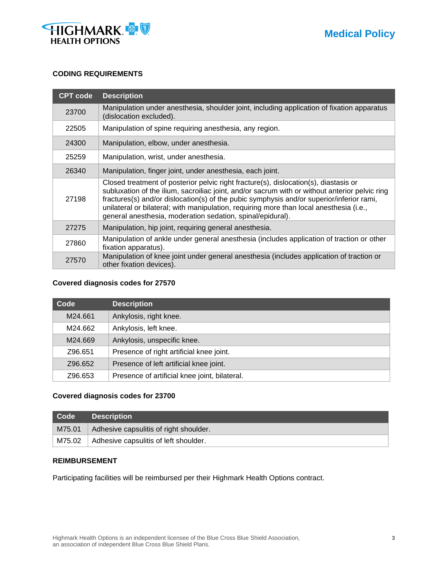

### **CODING REQUIREMENTS**

| <b>CPT code</b> | <b>Description</b>                                                                                                                                                                                                                                                                                                                                                                                                                          |
|-----------------|---------------------------------------------------------------------------------------------------------------------------------------------------------------------------------------------------------------------------------------------------------------------------------------------------------------------------------------------------------------------------------------------------------------------------------------------|
| 23700           | Manipulation under anesthesia, shoulder joint, including application of fixation apparatus<br>(dislocation excluded).                                                                                                                                                                                                                                                                                                                       |
| 22505           | Manipulation of spine requiring anesthesia, any region.                                                                                                                                                                                                                                                                                                                                                                                     |
| 24300           | Manipulation, elbow, under anesthesia.                                                                                                                                                                                                                                                                                                                                                                                                      |
| 25259           | Manipulation, wrist, under anesthesia.                                                                                                                                                                                                                                                                                                                                                                                                      |
| 26340           | Manipulation, finger joint, under anesthesia, each joint.                                                                                                                                                                                                                                                                                                                                                                                   |
| 27198           | Closed treatment of posterior pelvic right fracture(s), dislocation(s), diastasis or<br>subluxation of the ilium, sacroiliac joint, and/or sacrum with or without anterior pelvic ring<br>fractures(s) and/or dislocation(s) of the pubic symphysis and/or superior/inferior rami,<br>unilateral or bilateral; with manipulation, requiring more than local anesthesia (i.e.,<br>general anesthesia, moderation sedation, spinal/epidural). |
| 27275           | Manipulation, hip joint, requiring general anesthesia.                                                                                                                                                                                                                                                                                                                                                                                      |
| 27860           | Manipulation of ankle under general anesthesia (includes application of traction or other<br>fixation apparatus).                                                                                                                                                                                                                                                                                                                           |
| 27570           | Manipulation of knee joint under general anesthesia (includes application of traction or<br>other fixation devices).                                                                                                                                                                                                                                                                                                                        |

### **Covered diagnosis codes for 27570**

| Code    | <b>Description</b>                            |
|---------|-----------------------------------------------|
| M24.661 | Ankylosis, right knee.                        |
| M24.662 | Ankylosis, left knee.                         |
| M24.669 | Ankylosis, unspecific knee.                   |
| Z96.651 | Presence of right artificial knee joint.      |
| Z96.652 | Presence of left artificial knee joint.       |
| Z96.653 | Presence of artificial knee joint, bilateral. |

# **Covered diagnosis codes for 23700**

| Code | <b>Description</b>                               |  |
|------|--------------------------------------------------|--|
|      | $M75.01$ Adhesive capsulitis of right shoulder.  |  |
|      | $M75.02$   Adhesive capsulitis of left shoulder. |  |

### **REIMBURSEMENT**

Participating facilities will be reimbursed per their Highmark Health Options contract.